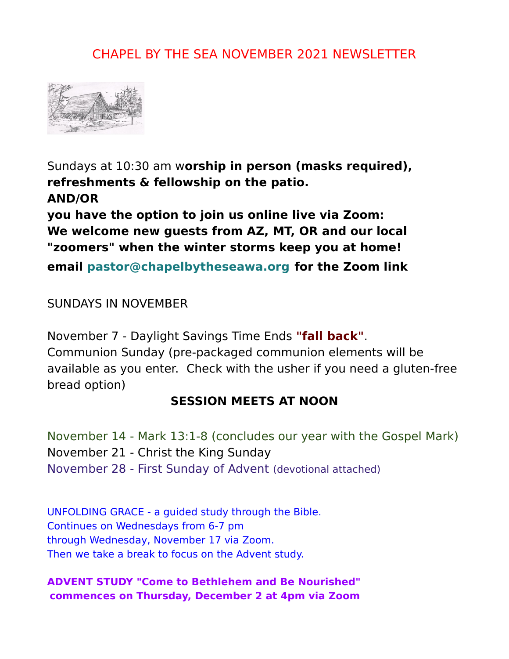## CHAPEL BY THE SEA NOVEMBER 2021 NEWSLETTER



Sundays at 10:30 am w**orship in person (masks required), refreshments & fellowship on the patio. AND/OR** 

**you have the option to join us online live via Zoom: We welcome new guests from AZ, MT, OR and our local "zoomers" when the winter storms keep you at home!**

**email [pastor@chapelbytheseawa.org](mailto:pastor@chapelbytheseawa.org) for the Zoom link**

SUNDAYS IN NOVEMBER

November 7 - Daylight Savings Time Ends **"fall back"**. Communion Sunday (pre-packaged communion elements will be available as you enter. Check with the usher if you need a gluten-free bread option)

### **SESSION MEETS AT NOON**

November 14 - Mark 13:1-8 (concludes our year with the Gospel Mark) November 21 - Christ the King Sunday November 28 - First Sunday of Advent (devotional attached)

UNFOLDING GRACE - a guided study through the Bible. Continues on Wednesdays from 6-7 pm through Wednesday, November 17 via Zoom. Then we take a break to focus on the Advent study.

#### **ADVENT STUDY "Come to Bethlehem and Be Nourished" commences on Thursday, December 2 at 4pm via Zoom**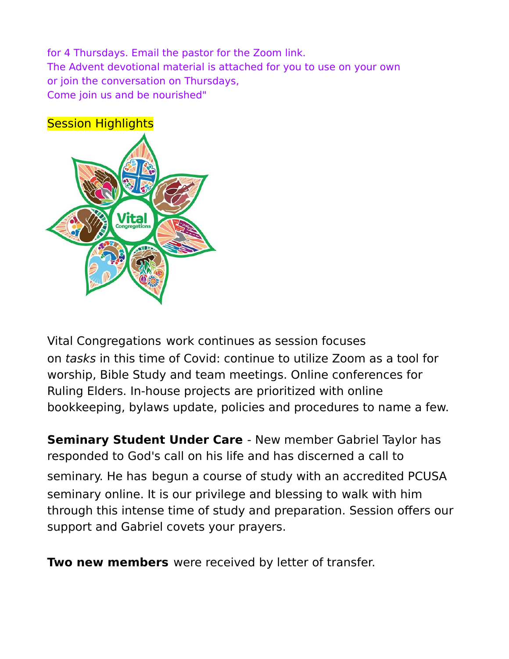for 4 Thursdays. Email the pastor for the Zoom link. The Advent devotional material is attached for you to use on your own or join the conversation on Thursdays, Come join us and be nourished"



Vital Congregations work continues as session focuses on tasks in this time of Covid: continue to utilize Zoom as a tool for worship, Bible Study and team meetings. Online conferences for Ruling Elders. In-house projects are prioritized with online bookkeeping, bylaws update, policies and procedures to name a few.

**Seminary Student Under Care** - New member Gabriel Taylor has responded to God's call on his life and has discerned a call to seminary. He has begun a course of study with an accredited PCUSA seminary online. It is our privilege and blessing to walk with him through this intense time of study and preparation. Session offers our support and Gabriel covets your prayers.

**Two new members** were received by letter of transfer.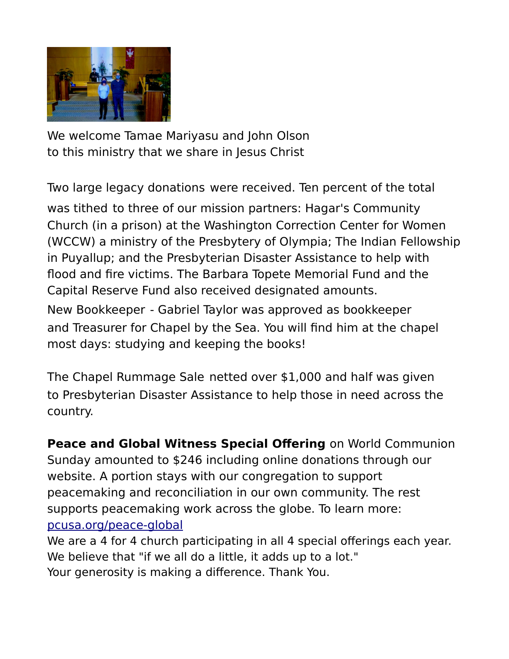

We welcome Tamae Mariyasu and John Olson to this ministry that we share in Jesus Christ

Two large legacy donations were received. Ten percent of the total

was tithed to three of our mission partners: Hagar's Community Church (in a prison) at the Washington Correction Center for Women (WCCW) a ministry of the Presbytery of Olympia; The Indian Fellowship in Puyallup; and the Presbyterian Disaster Assistance to help with flood and fire victims. The Barbara Topete Memorial Fund and the Capital Reserve Fund also received designated amounts.

New Bookkeeper - Gabriel Taylor was approved as bookkeeper and Treasurer for Chapel by the Sea. You will find him at the chapel most days: studying and keeping the books!

The Chapel Rummage Sale netted over \$1,000 and half was given to Presbyterian Disaster Assistance to help those in need across the country.

**Peace and Global Witness Special Offering** on World Communion Sunday amounted to \$246 including online donations through our website. A portion stays with our congregation to support peacemaking and reconciliation in our own community. The rest supports peacemaking work across the globe. To learn more: [pcusa.org/peace-global](http://pcusa.org/peace-global)

We are a 4 for 4 church participating in all 4 special offerings each year. We believe that "if we all do a little, it adds up to a lot." Your generosity is making a difference. Thank You.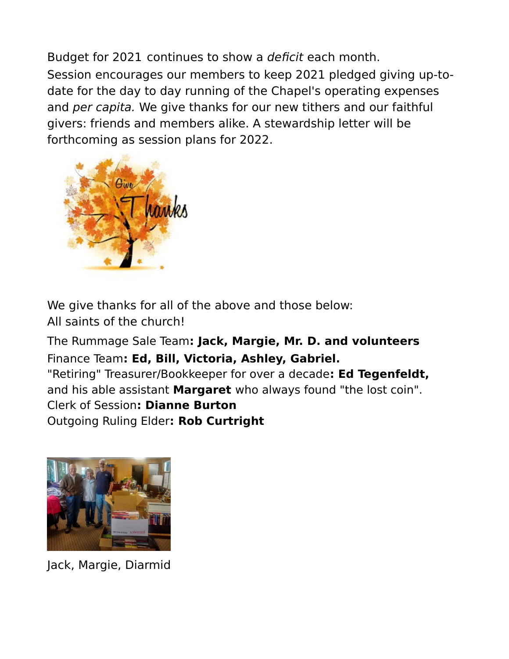Budget for 2021 continues to show a deficit each month. Session encourages our members to keep 2021 pledged giving up-todate for the day to day running of the Chapel's operating expenses and per capita. We give thanks for our new tithers and our faithful givers: friends and members alike. A stewardship letter will be forthcoming as session plans for 2022.



We give thanks for all of the above and those below: All saints of the church!

The Rummage Sale Team**: Jack, Margie, Mr. D. and volunteers** Finance Team**: Ed, Bill, Victoria, Ashley, Gabriel.** "Retiring" Treasurer/Bookkeeper for over a decade**: Ed Tegenfeldt,** and his able assistant **Margaret** who always found "the lost coin". Clerk of Session**: Dianne Burton** Outgoing Ruling Elder**: Rob Curtright**



Jack, Margie, Diarmid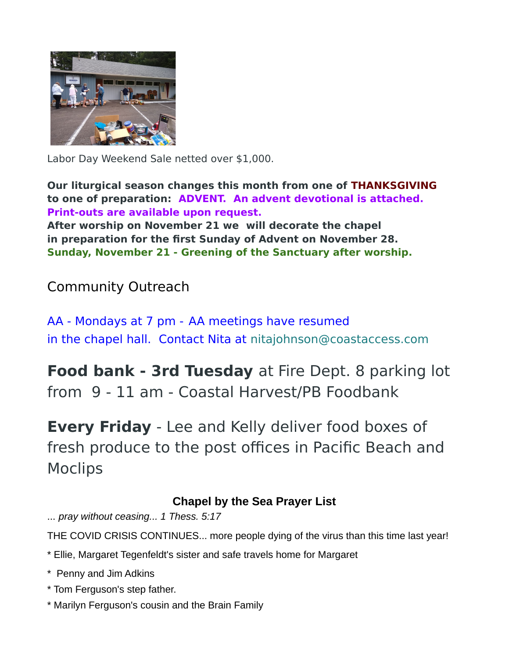

Labor Day Weekend Sale netted over \$1,000.

**Our liturgical season changes this month from one of THANKSGIVING to one of preparation: ADVENT. An advent devotional is attached. Print-outs are available upon request.**

**After worship on November 21 we will decorate the chapel in preparation for the first Sunday of Advent on November 28. Sunday, November 21 - Greening of the Sanctuary after worship.**

# Community Outreach

AA - Mondays at 7 pm - AA meetings have resumed in the chapel hall. Contact Nita at [nitajohnson@coastaccess.com](mailto:nitajohnson@coastaccess.com)

**Food bank - 3rd Tuesday** at Fire Dept. 8 parking lot from 9 - 11 am - Coastal Harvest/PB Foodbank

**Every Friday** - Lee and Kelly deliver food boxes of fresh produce to the post offices in Pacific Beach and Moclips

### **Chapel by the Sea Prayer List**

... *pray without ceasing... 1 Thess. 5:17* 

THE COVID CRISIS CONTINUES... more people dying of the virus than this time last year!

- \* Ellie, Margaret Tegenfeldt's sister and safe travels home for Margaret
- \* Penny and Jim Adkins
- \* Tom Ferguson's step father.
- \* Marilyn Ferguson's cousin and the Brain Family